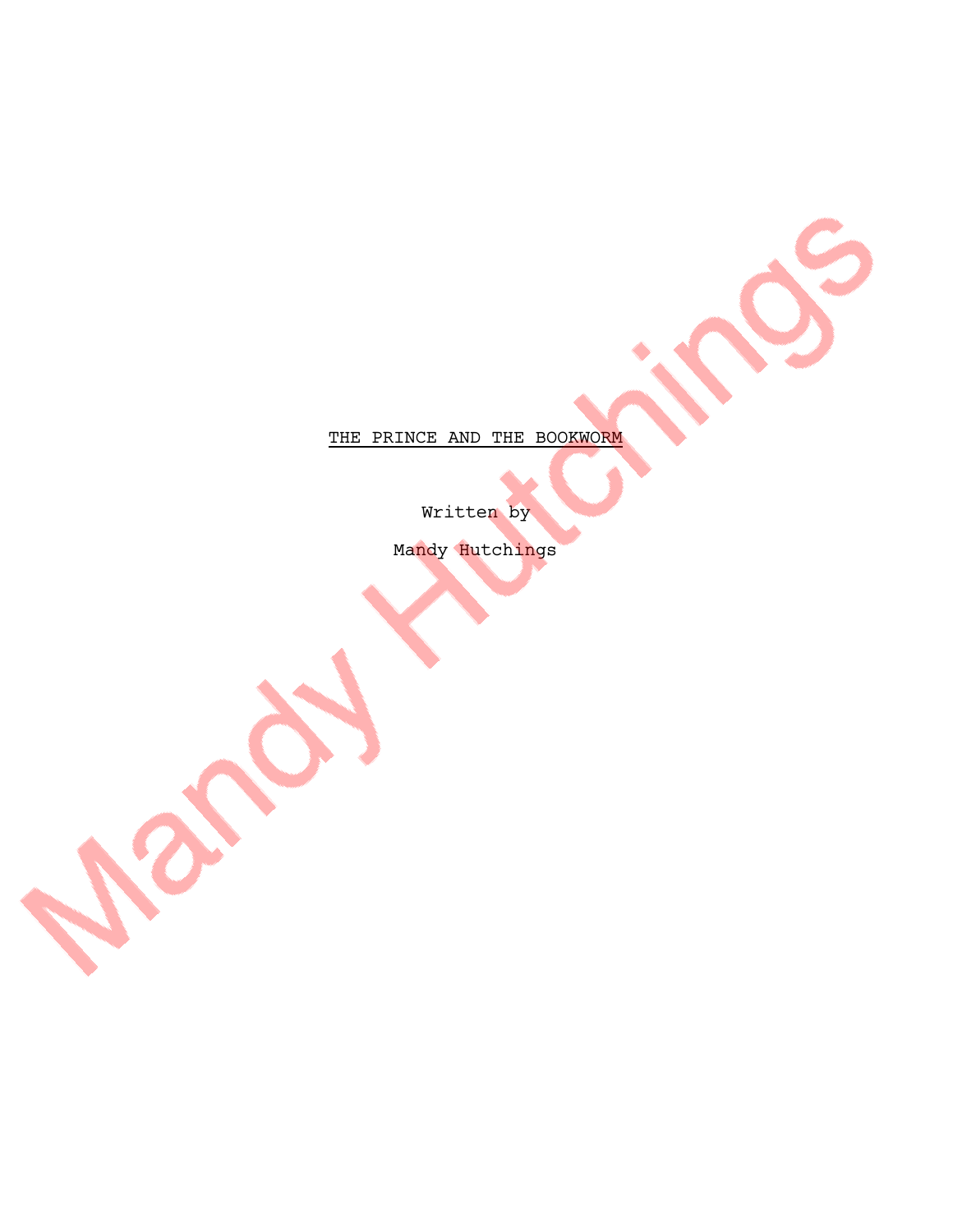THE PRINCE AND THE BOOKWORM

Written by

Mandy Hutchings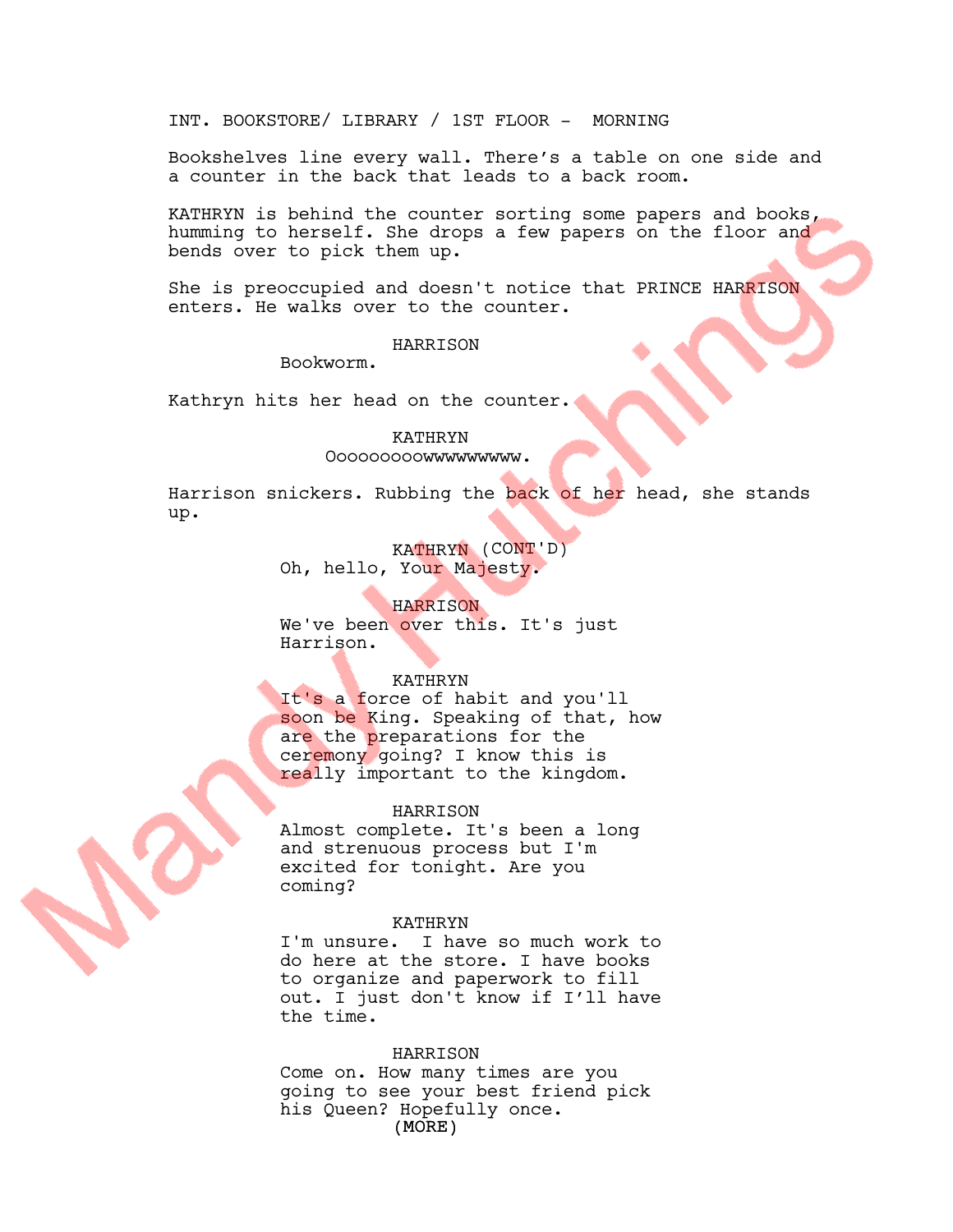INT. BOOKSTORE/ LIBRARY / 1ST FLOOR - MORNING

Bookshelves line every wall. There's a table on one side and a counter in the back that leads to a back room.

KATHRYN is behind the counter sorting some papers and books, humming to herself. She drops a few papers on the floor and bends over to pick them up.

She is preoccupied and doesn't notice that PRINCE HARRISON enters. He walks over to the counter.

#### HARRISON

Bookworm.

Kathryn hits her head on the counter.

# KATHRYN Ooooooooowwwwwwwww.

Harrison snickers. Rubbing the back of her head, she stands up.

> KATHRYN (CONT'D) Oh, hello, Your Majesty.

# HARRISON

We've been over this. It's just Harrison.

# KATHRYN

It's a force of habit and you'll soon be King. Speaking of that, how are the preparations for the ceremony going? I know this is really important to the kingdom.

# HARRISON

Almost complete. It's been a long and strenuous process but I'm excited for tonight. Are you coming?

#### KATHRYN

I'm unsure. I have so much work to do here at the store. I have books to organize and paperwork to fill out. I just don't know if I'll have the time.

#### HARRISON

(MORE) Come on. How many times are you going to see your best friend pick his Queen? Hopefully once.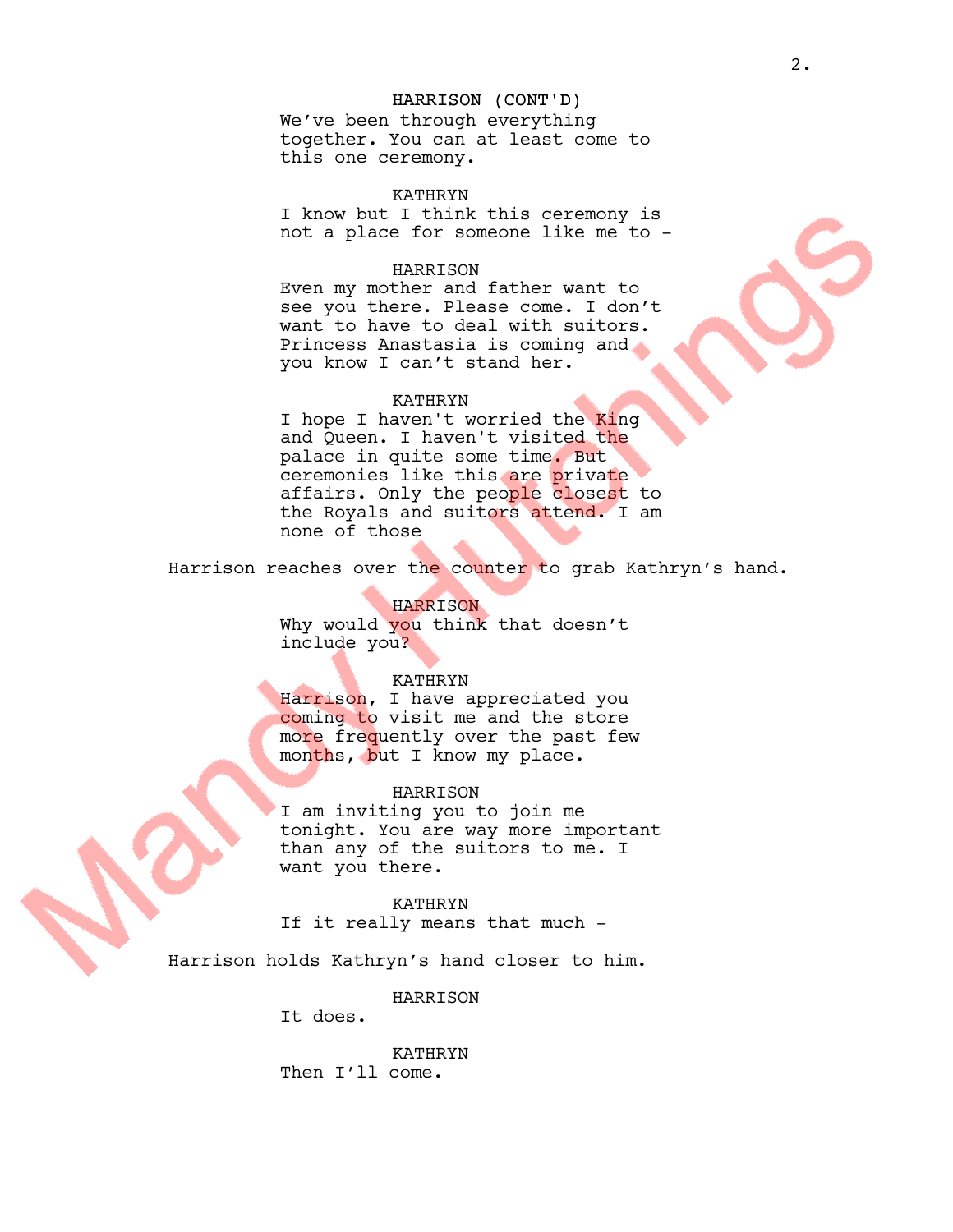# HARRISON (CONT'D)

We've been through everything together. You can at least come to this one ceremony.

KATHRYN I know but I think this ceremony is not a place for someone like me to -

# HARRISON

Even my mother and father want to see you there. Please come. I don't want to have to deal with suitors. Princess Anastasia is coming and you know I can't stand her.

#### KATHRYN

I hope I haven't worried the King and Queen. I haven't visited the palace in quite some time. But ceremonies like this are private affairs. Only the people closest to the Royals and suitors attend. I am none of those

Harrison reaches over the counter to grab Kathryn's hand.

HARRISON Why would you think that doesn't include you?

#### KATHRYN

Harrison, I have appreciated you coming to visit me and the store more frequently over the past few months, but I know my place.

#### HARRISON

I am inviting you to join me tonight. You are way more important than any of the suitors to me. I want you there.

KATHRYN If it really means that much -

Harrison holds Kathryn's hand closer to him.

HARRISON

It does.

KATHRYN Then I'll come.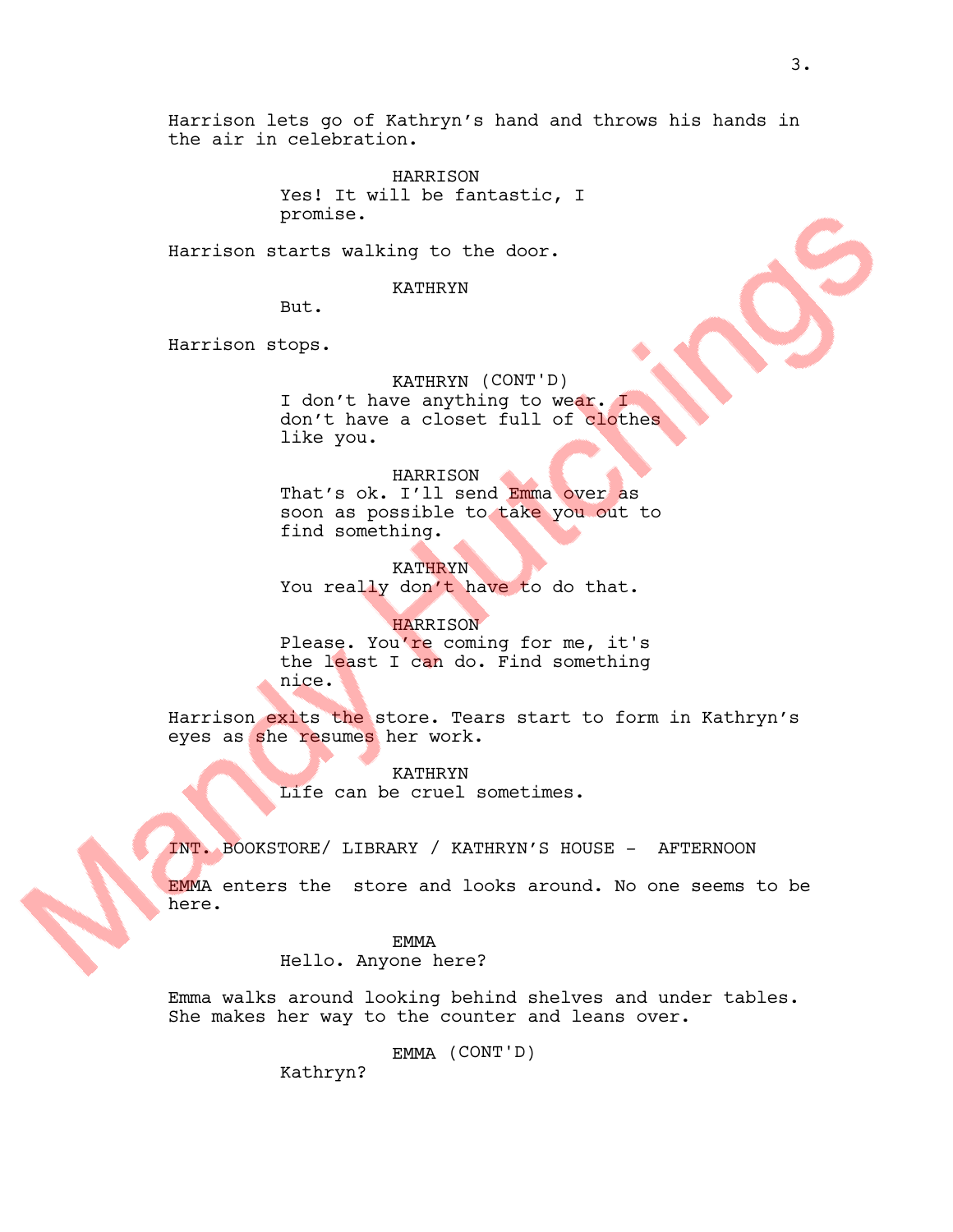Harrison lets go of Kathryn's hand and throws his hands in the air in celebration.

> HARRISON Yes! It will be fantastic, I promise.

Harrison starts walking to the door.

KATHRYN

But.

Harrison stops.

KATHRYN (CONT'D) I don't have anything to wear. I don't have a closet full of clothes like you.

HARRISON

That's ok. I'll send Emma over as soon as possible to take you out to find something.

KATHRYN You really don't have to do that.

HARRISON Please. You're coming for me, it's the least I can do. Find something nice.

Harrison exits the store. Tears start to form in Kathryn's eyes as she resumes her work.

> KATHRYN Life can be cruel sometimes.

INT. BOOKSTORE/ LIBRARY / KATHRYN'S HOUSE - AFTERNOON

EMMA enters the store and looks around. No one seems to be here.

EMMA

Hello. Anyone here?

Emma walks around looking behind shelves and under tables. She makes her way to the counter and leans over.

EMMA (CONT'D)

Kathryn?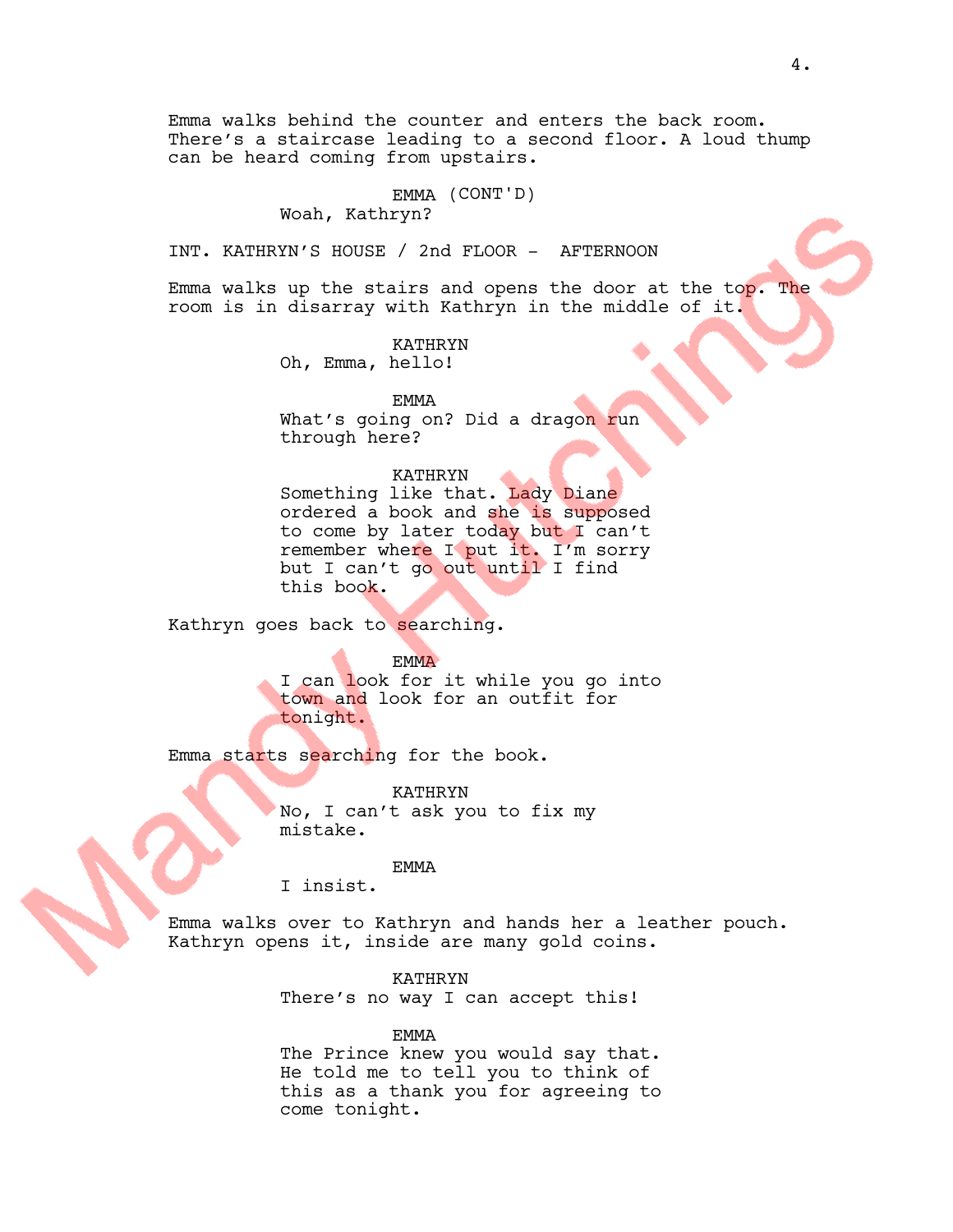Emma walks behind the counter and enters the back room. There's a staircase leading to a second floor. A loud thump can be heard coming from upstairs.

#### EMMA (CONT'D)

# Woah, Kathryn?

INT. KATHRYN'S HOUSE / 2nd FLOOR - AFTERNOON

Emma walks up the stairs and opens the door at the top. The room is in disarray with Kathryn in the middle of it.

> KATHRYN Oh, Emma, hello!

EMMA What's going on? Did a dragon run through here?

# KATHRYN

Something like that. Lady Diane ordered a book and she is supposed to come by later today but I can't remember where I put it. I'm sorry but I can't go out until I find this book.

Kathryn goes back to searching.

**EMMA** 

I can look for it while you go into town and look for an outfit for tonight.

Emma starts searching for the book.

KATHRYN No, I can't ask you to fix my mistake.

EMMA

I insist.

Emma walks over to Kathryn and hands her a leather pouch. Kathryn opens it, inside are many gold coins.

> KATHRYN There's no way I can accept this!

EMMA The Prince knew you would say that. He told me to tell you to think of this as a thank you for agreeing to come tonight.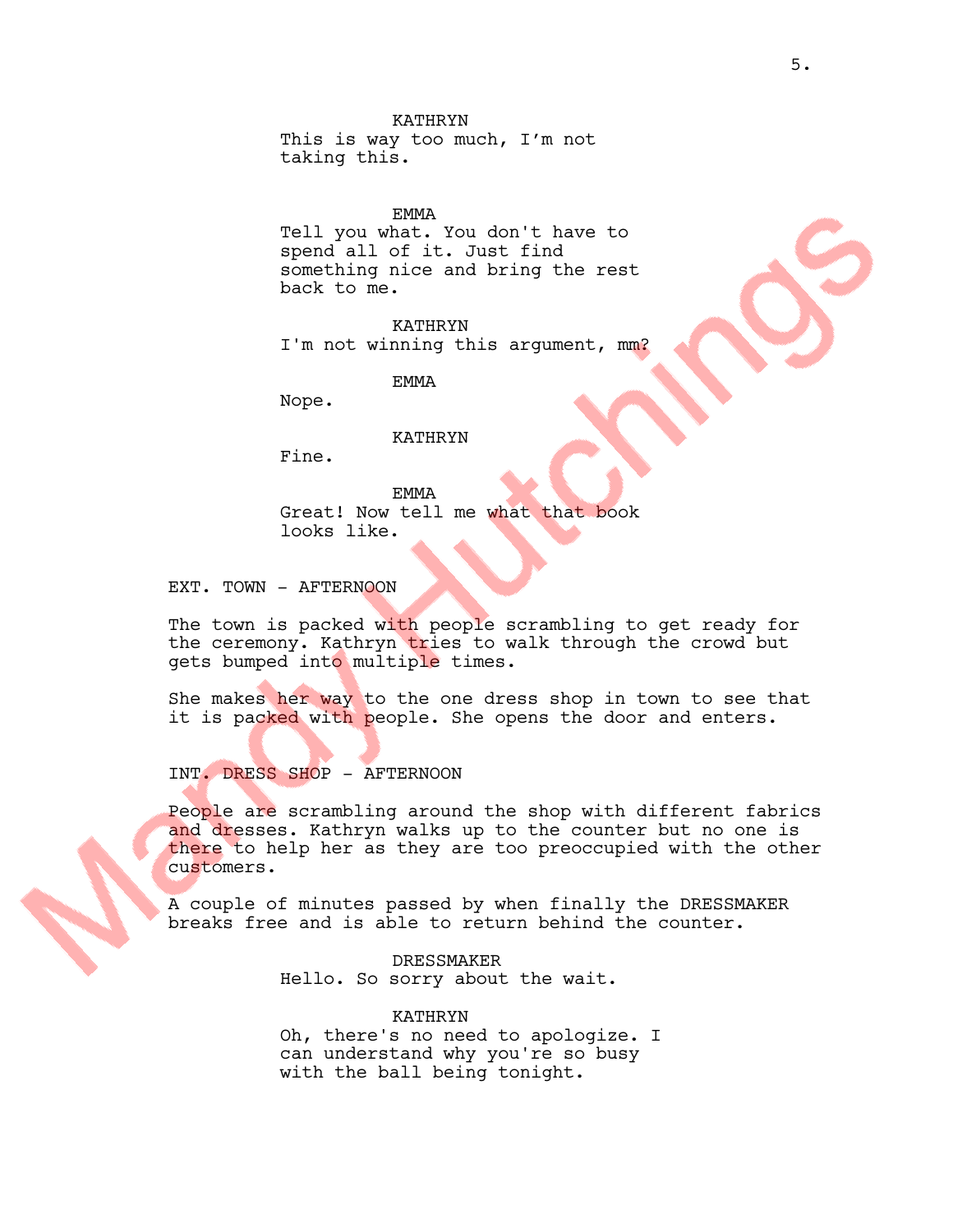This is way too much, I'm not taking this.

# EMMA

Tell you what. You don't have to spend all of it. Just find something nice and bring the rest back to me.

KATHRYN I'm not winning this argument, mm?

EMMA

Nope.

# KATHRYN

Fine.

EMMA Great! Now tell me what that book looks like.

EXT. TOWN - AFTERNOON

The town is packed with people scrambling to get ready for the ceremony. Kathryn tries to walk through the crowd but gets bumped into multiple times.

She makes her way to the one dress shop in town to see that it is packed with people. She opens the door and enters.

INT. DRESS SHOP - AFTERNOON

People are scrambling around the shop with different fabrics and dresses. Kathryn walks up to the counter but no one is there to help her as they are too preoccupied with the other customers.

A couple of minutes passed by when finally the DRESSMAKER breaks free and is able to return behind the counter.

> DRESSMAKER Hello. So sorry about the wait.

KATHRYN Oh, there's no need to apologize. I can understand why you're so busy with the ball being tonight.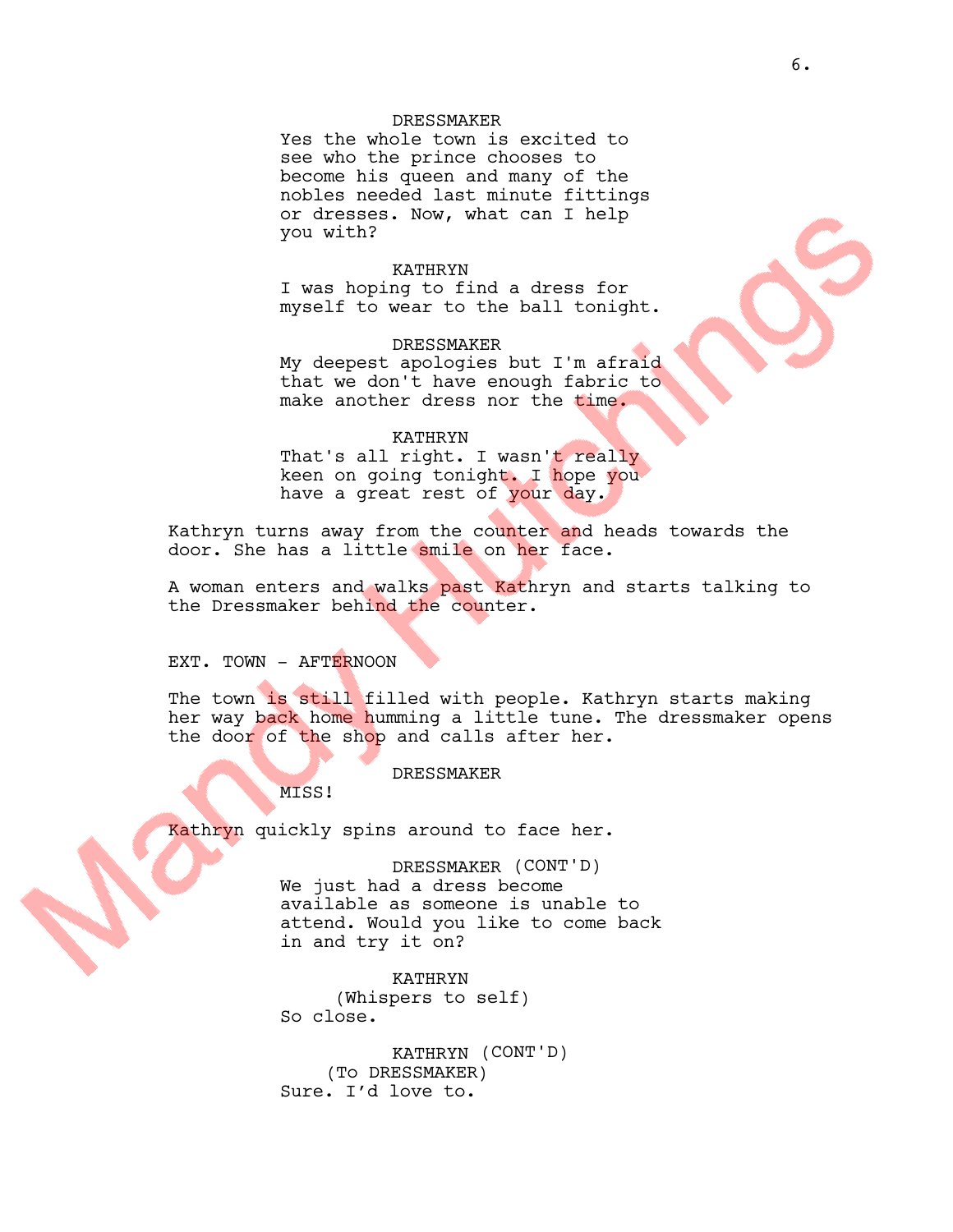# DRESSMAKER

Yes the whole town is excited to see who the prince chooses to become his queen and many of the nobles needed last minute fittings or dresses. Now, what can I help you with?

# KATHRYN

I was hoping to find a dress for myself to wear to the ball tonight.

### DRESSMAKER

My deepest apologies but I'm afraid that we don't have enough fabric to make another dress nor the time.

#### KATHRYN

That's all right. I wasn't really keen on going tonight. I hope you have a great rest of your day.

Kathryn turns away from the counter and heads towards the door. She has a little smile on her face.

A woman enters and walks past Kathryn and starts talking to the Dressmaker behind the counter.

# EXT. TOWN - AFTERNOON

The town is still filled with people. Kathryn starts making her way back home humming a little tune. The dressmaker opens the door of the shop and calls after her.

# **DRESSMAKER**

MISS!

Kathryn quickly spins around to face her.

DRESSMAKER (CONT'D) We just had a dress become available as someone is unable to attend. Would you like to come back in and try it on?

KATHRYN (Whispers to self) So close.

KATHRYN (CONT'D) (To DRESSMAKER) Sure. I'd love to.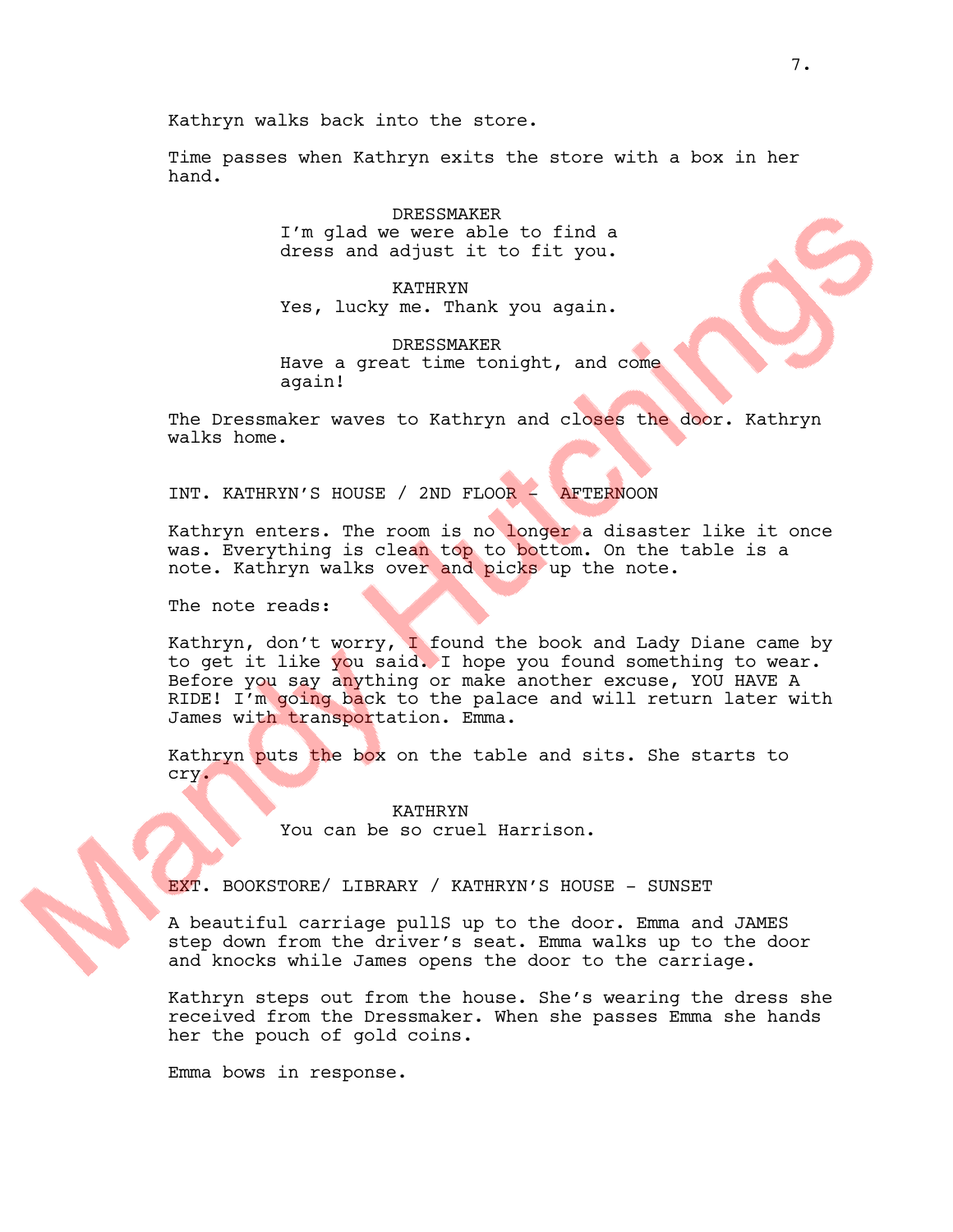Kathryn walks back into the store.

Time passes when Kathryn exits the store with a box in her hand.

> DRESSMAKER I'm glad we were able to find a dress and adjust it to fit you.

> KATHRYN Yes, lucky me. Thank you again.

DRESSMAKER Have a great time tonight, and come again!

The Dressmaker waves to Kathryn and closes the door. Kathryn walks home.

INT. KATHRYN'S HOUSE / 2ND FLOOR - AFTERNOON

Kathryn enters. The room is no longer a disaster like it once was. Everything is clean top to bottom. On the table is a note. Kathryn walks over and picks up the note.

The note reads:

Kathryn, don't worry, I found the book and Lady Diane came by to get it like you said. I hope you found something to wear. Before you say anything or make another excuse, YOU HAVE A RIDE! I'm going back to the palace and will return later with James with transportation. Emma.

Kathryn puts the box on the table and sits. She starts to cry.

> KATHRYN You can be so cruel Harrison.

EXT. BOOKSTORE/ LIBRARY / KATHRYN'S HOUSE - SUNSET

A beautiful carriage pullS up to the door. Emma and JAMES step down from the driver's seat. Emma walks up to the door and knocks while James opens the door to the carriage.

Kathryn steps out from the house. She's wearing the dress she received from the Dressmaker. When she passes Emma she hands her the pouch of gold coins.

Emma bows in response.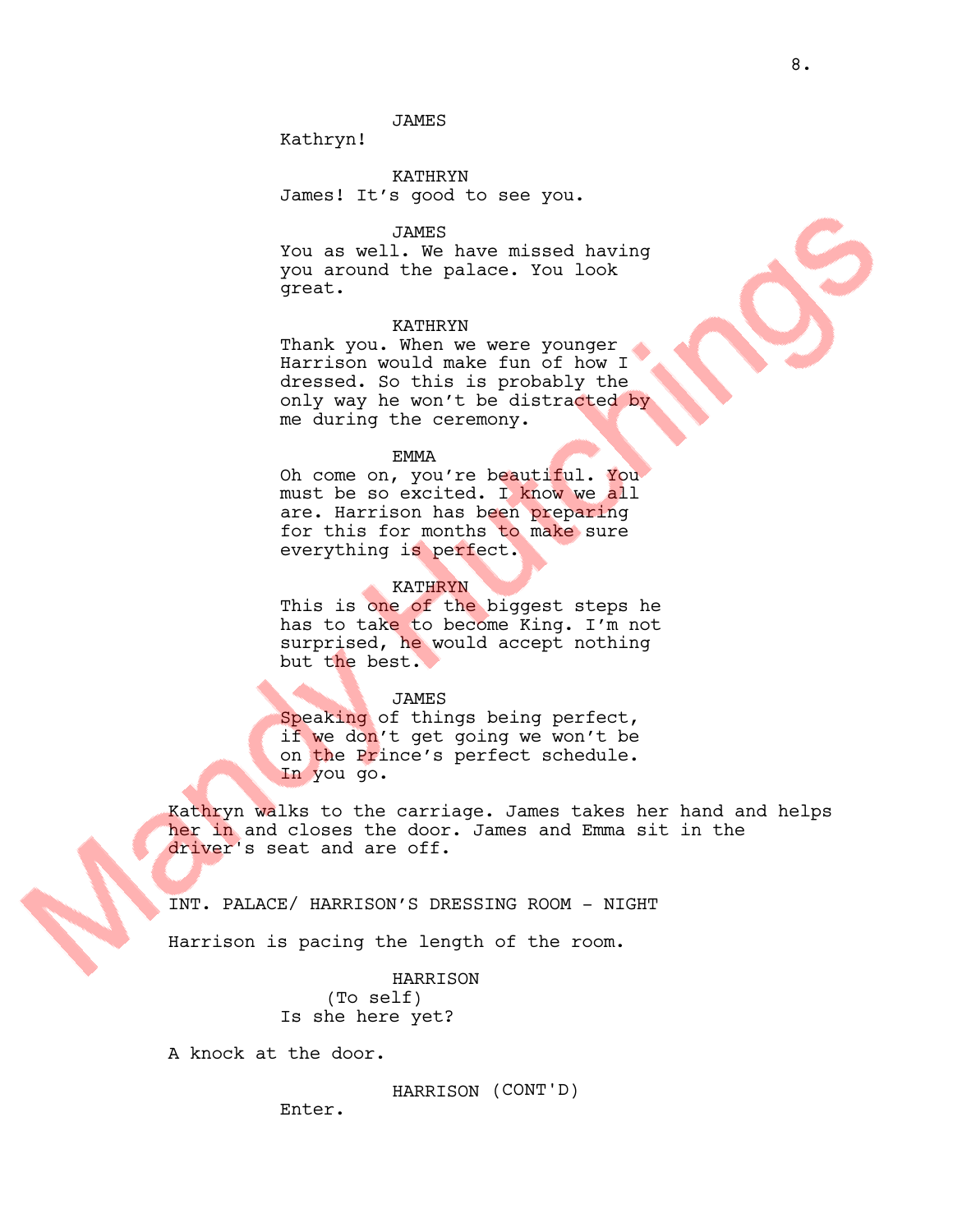# JAMES

Kathryn!

KATHRYN James! It's good to see you.

### JAMES

You as well. We have missed having you around the palace. You look great.

## KATHRYN

Thank you. When we were younger Harrison would make fun of how I dressed. So this is probably the only way he won't be distracted by me during the ceremony.

#### EMMA

Oh come on, you're beautiful. You must be so excited. I know we all are. Harrison has been preparing for this for months to make sure everything is perfect.

#### KATHRYN

This is one of the biggest steps he has to take to become King. I'm not surprised, he would accept nothing but the best.

#### JAMES

Speaking of things being perfect, if we don't get going we won't be on the Prince's perfect schedule. In you go.

Kathryn walks to the carriage. James takes her hand and helps her in and closes the door. James and Emma sit in the driver's seat and are off.

INT. PALACE/ HARRISON'S DRESSING ROOM - NIGHT

Harrison is pacing the length of the room.

HARRISON (To self) Is she here yet?

A knock at the door.

HARRISON (CONT'D)

Enter.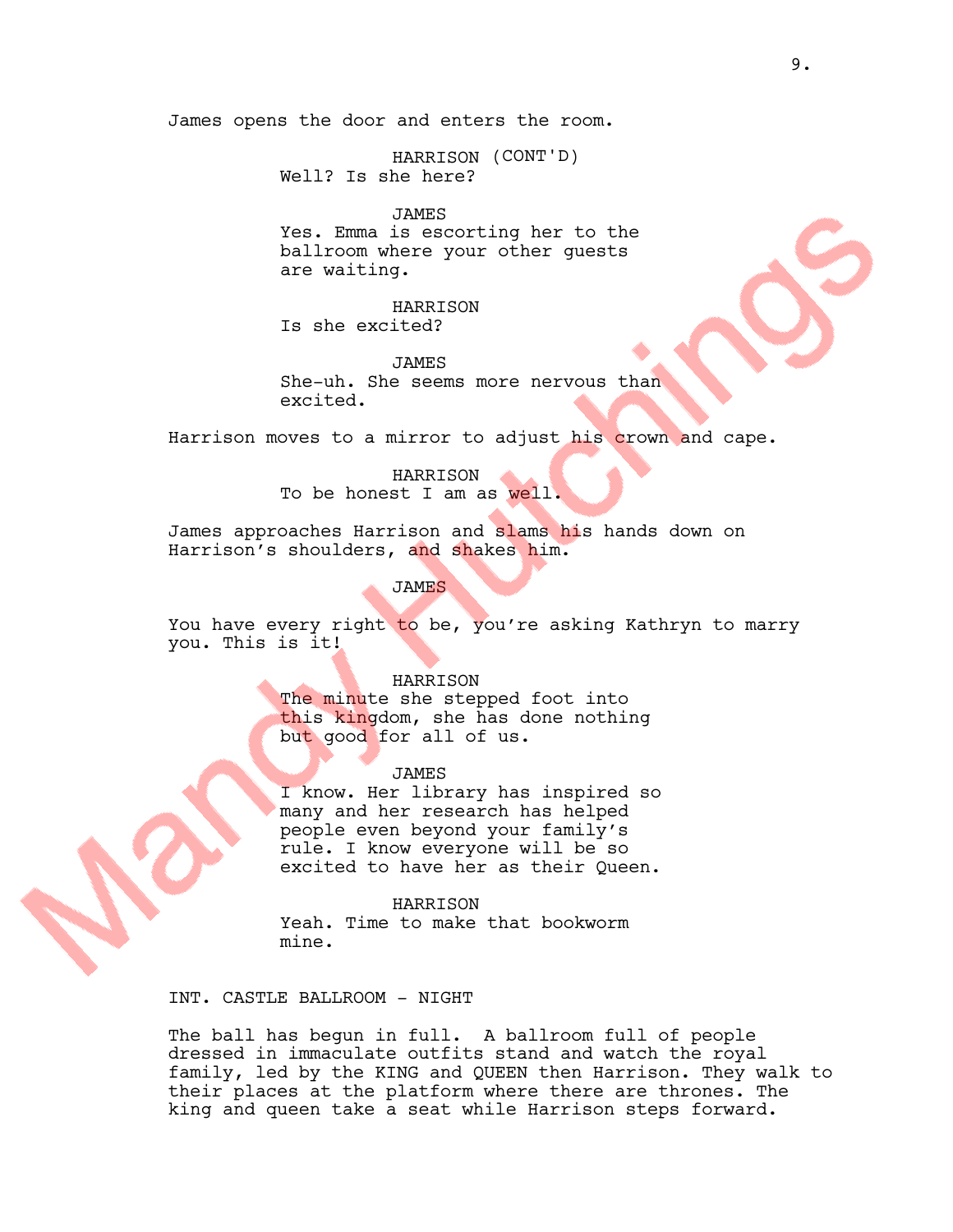HARRISON (CONT'D) Well? Is she here?

JAMES

Yes. Emma is escorting her to the ballroom where your other guests are waiting.

HARRISON Is she excited?

JAMES She-uh. She seems more nervous than excited.

Harrison moves to a mirror to adjust his crown and cape.

HARRISON To be honest I am as well.

James approaches Harrison and slams his hands down on Harrison's shoulders, and shakes him.

JAMES

You have every right to be, you're asking Kathryn to marry you. This is it!

#### HARRISON

The minute she stepped foot into this kingdom, she has done nothing but good for all of us.

JAMES

I know. Her library has inspired so many and her research has helped people even beyond your family's rule. I know everyone will be so excited to have her as their Queen.

HARRISON Yeah. Time to make that bookworm mine.

INT. CASTLE BALLROOM - NIGHT

The ball has begun in full. A ballroom full of people dressed in immaculate outfits stand and watch the royal family, led by the KING and QUEEN then Harrison. They walk to their places at the platform where there are thrones. The king and queen take a seat while Harrison steps forward.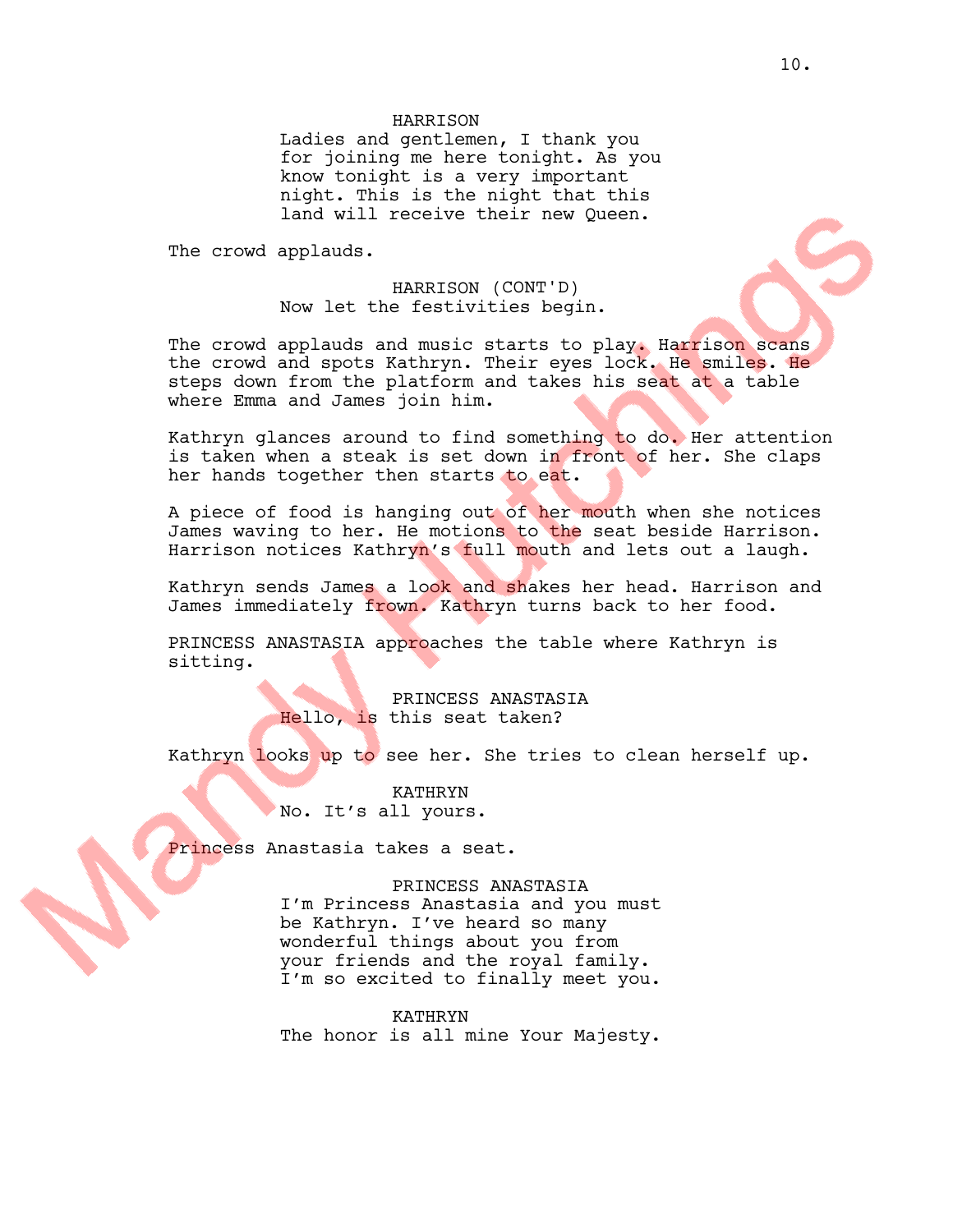# HARRISON

Ladies and gentlemen, I thank you for joining me here tonight. As you know tonight is a very important night. This is the night that this land will receive their new Queen.

The crowd applauds.

HARRISON (CONT'D) Now let the festivities begin.

The crowd applauds and music starts to play. Harrison scans the crowd and spots Kathryn. Their eyes lock. He smiles. He steps down from the platform and takes his seat at a table where Emma and James join him.

Kathryn glances around to find something to do. Her attention is taken when a steak is set down in front of her. She claps her hands together then starts to eat.

A piece of food is hanging out of her mouth when she notices James waving to her. He motions to the seat beside Harrison. Harrison notices Kathryn's full mouth and lets out a laugh.

Kathryn sends James a look and shakes her head. Harrison and James immediately frown. Kathryn turns back to her food.

PRINCESS ANASTASIA approaches the table where Kathryn is sitting.

> PRINCESS ANASTASIA Hello, is this seat taken?

Kathryn looks up to see her. She tries to clean herself up.

KATHRYN No. It's all yours.

Princess Anastasia takes a seat.

PRINCESS ANASTASIA I'm Princess Anastasia and you must be Kathryn. I've heard so many wonderful things about you from your friends and the royal family. I'm so excited to finally meet you.

KATHRYN The honor is all mine Your Majesty.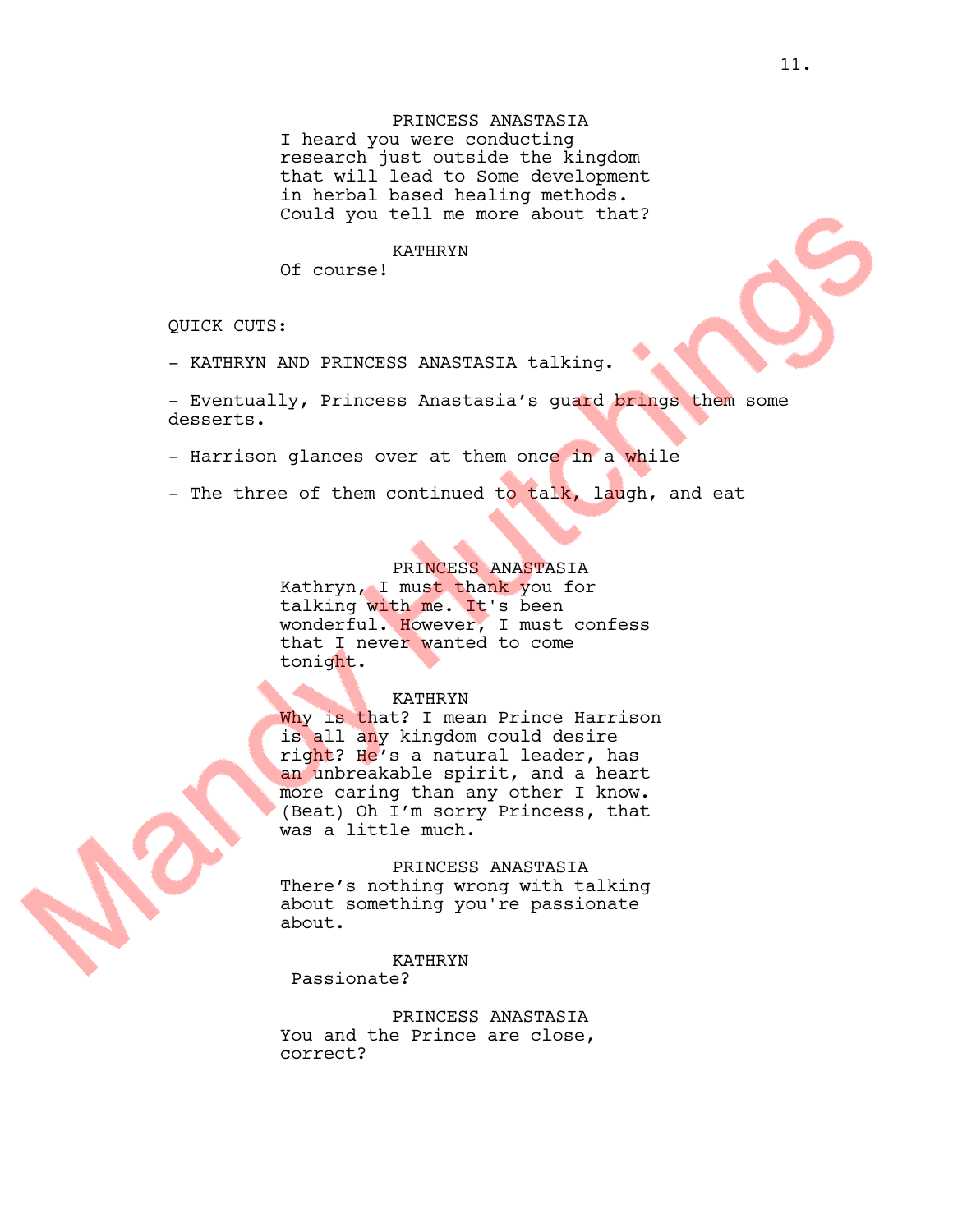# PRINCESS ANASTASIA

I heard you were conducting research just outside the kingdom that will lead to Some development in herbal based healing methods. Could you tell me more about that?

#### KATHRYN

Of course!

QUICK CUTS:

- KATHRYN AND PRINCESS ANASTASIA talking.

- Eventually, Princess Anastasia's guard brings them some desserts.

- Harrison glances over at them once in a while
- The three of them continued to talk, laugh, and eat

# PRINCESS ANASTASIA

Kathryn, I must thank you for talking with me. It's been wonderful. However, I must confess that I never wanted to come tonight.

#### KATHRYN

Why is that? I mean Prince Harrison is all any kingdom could desire right? He's a natural leader, has an unbreakable spirit, and a heart more caring than any other I know. (Beat) Oh I'm sorry Princess, that was a little much.

# PRINCESS ANASTASIA

There's nothing wrong with talking about something you're passionate about.

# KATHRYN Passionate?

PRINCESS ANASTASIA You and the Prince are close, correct?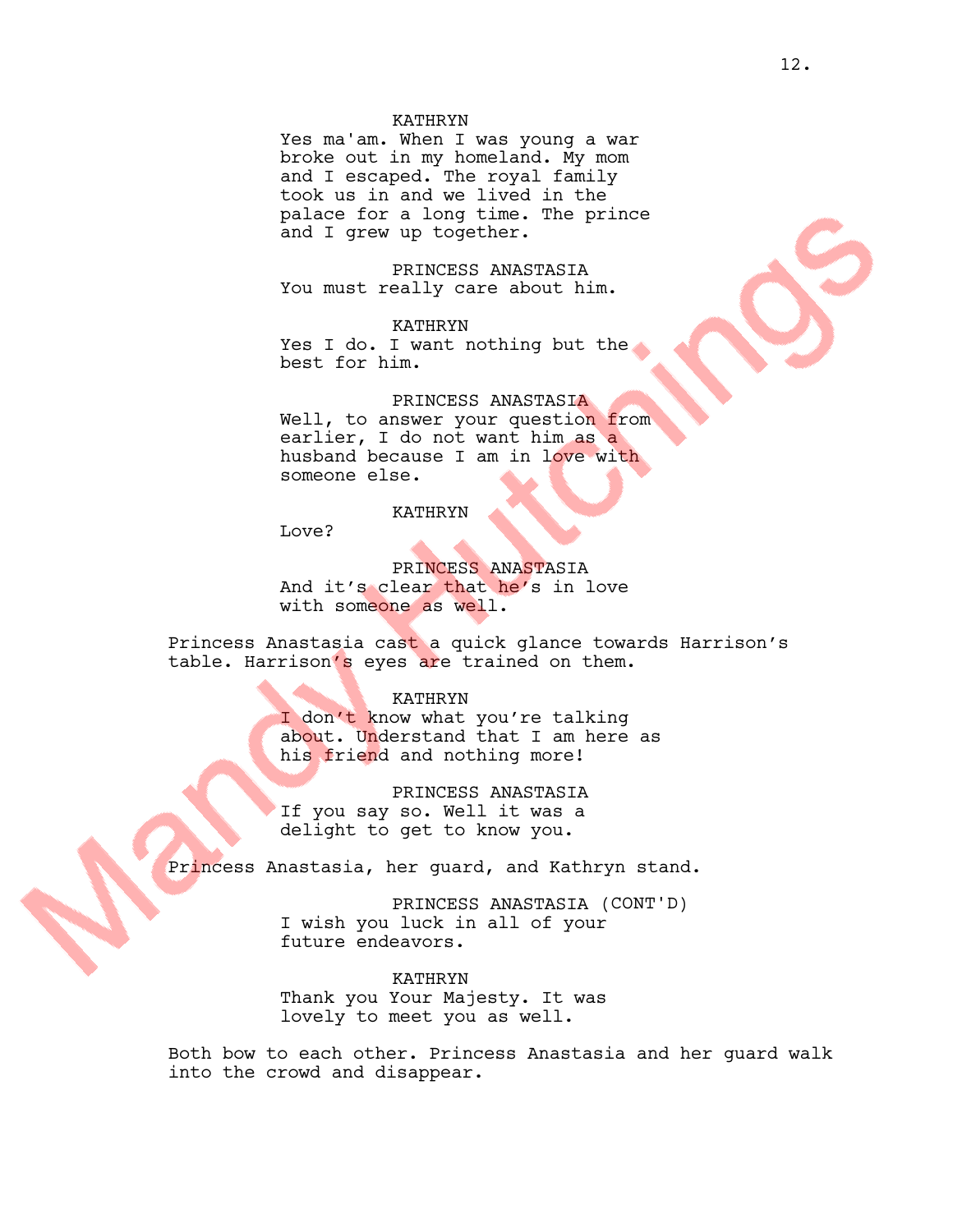# KATHRYN

Yes ma'am. When I was young a war broke out in my homeland. My mom and I escaped. The royal family took us in and we lived in the palace for a long time. The prince and I grew up together.

PRINCESS ANASTASIA You must really care about him.

KATHRYN Yes I do. I want nothing but the best for him.

PRINCESS ANASTASIA Well, to answer your question from earlier, I do not want him as a husband because I am in love with someone else.

KATHRYN

Love?

PRINCESS ANASTASIA And it's clear that he's in love with someone as well.

Princess Anastasia cast a quick glance towards Harrison's table. Harrison's eyes are trained on them.

KATHRYN

I don't know what you're talking about. Understand that I am here as his friend and nothing more!

PRINCESS ANASTASIA If you say so. Well it was a delight to get to know you.

Princess Anastasia, her guard, and Kathryn stand.

PRINCESS ANASTASIA (CONT'D) I wish you luck in all of your future endeavors.

KATHRYN Thank you Your Majesty. It was lovely to meet you as well.

Both bow to each other. Princess Anastasia and her guard walk into the crowd and disappear.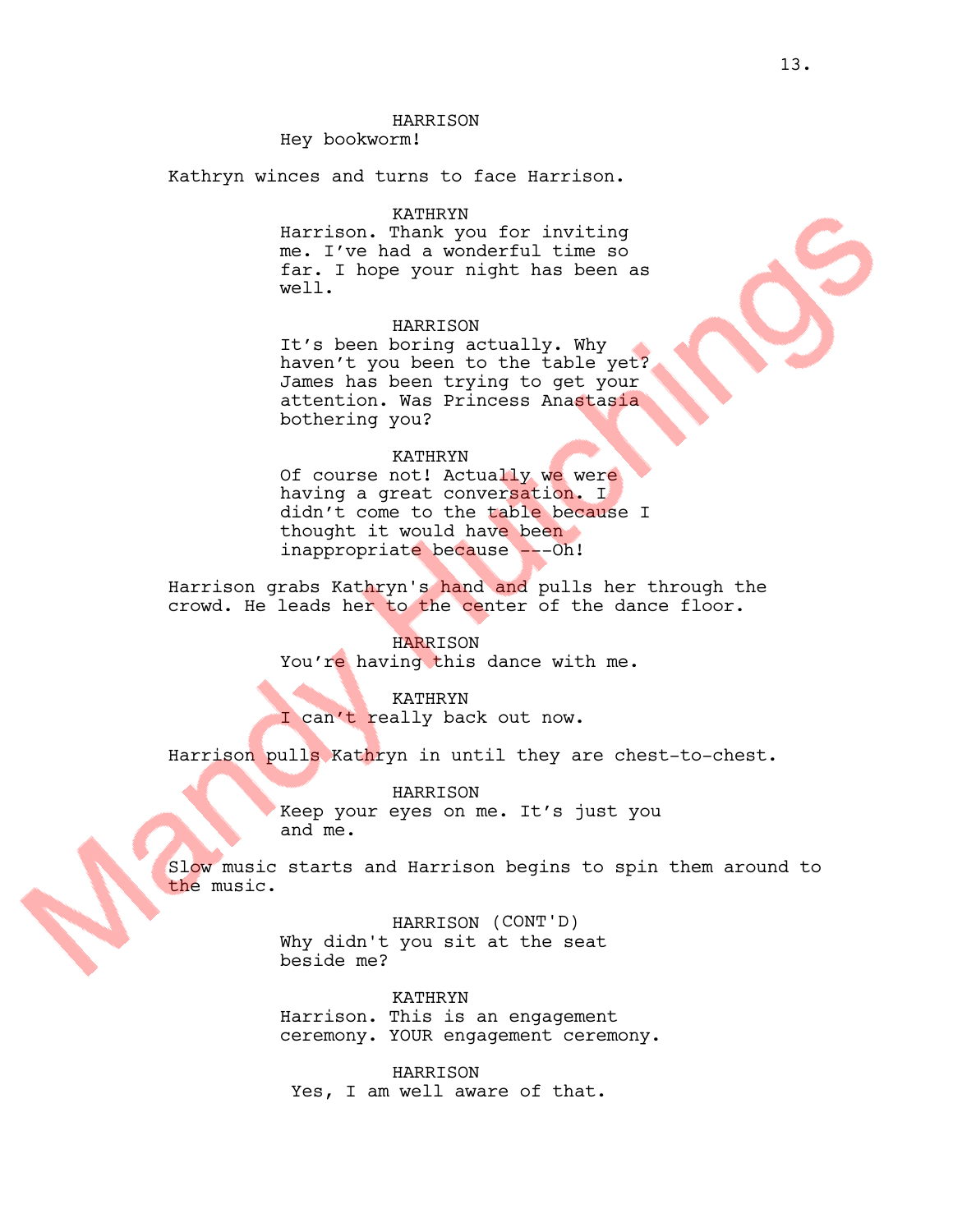# HARRISON

Hey bookworm!

Kathryn winces and turns to face Harrison.

## KATHRYN

Harrison. Thank you for inviting me. I've had a wonderful time so far. I hope your night has been as well.

# HARRISON

It's been boring actually. Why haven't you been to the table yet? James has been trying to get your attention. Was Princess Anastasia bothering you?

#### KATHRYN

Of course not! Actually we were having a great conversation. I didn't come to the table because I thought it would have been inappropriate because ---Oh!

Harrison grabs Kathryn's hand and pulls her through the crowd. He leads her to the center of the dance floor.

## HARRISON

You're having this dance with me.

# KATHRYN

I can't really back out now.

Harrison pulls Kathryn in until they are chest-to-chest.

HARRISON Keep your eyes on me. It's just you and me.

Slow music starts and Harrison begins to spin them around to the music.

> HARRISON (CONT'D) Why didn't you sit at the seat beside me?

KATHRYN Harrison. This is an engagement ceremony. YOUR engagement ceremony.

HARRISON Yes, I am well aware of that.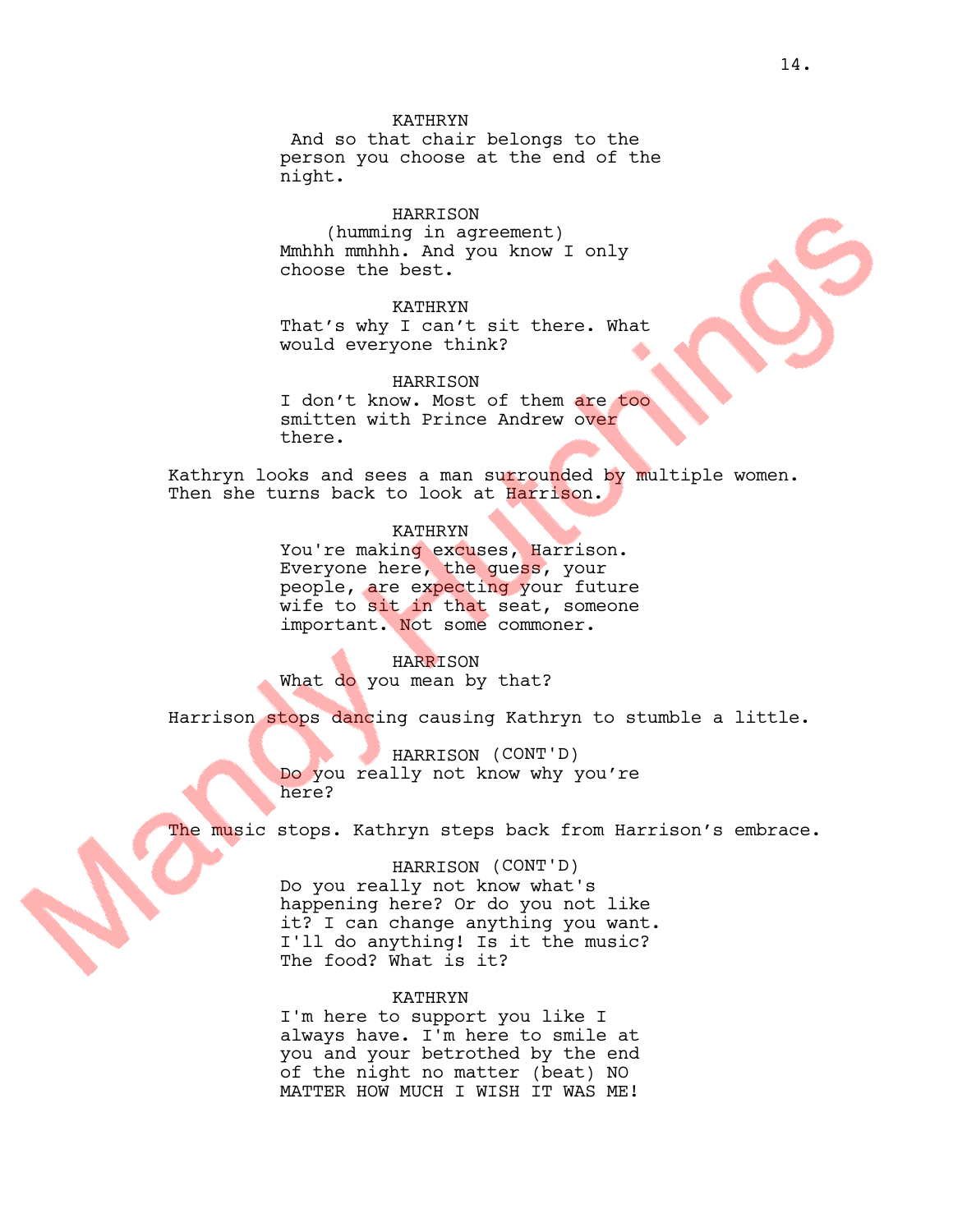## KATHRYN

And so that chair belongs to the person you choose at the end of the night.

HARRISON (humming in agreement) Mmhhh mmhhh. And you know I only choose the best.

## KATHRYN

there.

That's why I can't sit there. What would everyone think?

HARRISON I don't know. Most of them are too smitten with Prince Andrew over

Kathryn looks and sees a man surrounded by multiple women. Then she turns back to look at Harrison.

# KATHRYN

You're making excuses, Harrison. Everyone here, the guess, your people, are expecting your future wife to sit in that seat, someone important. Not some commoner.

HARRISON What do you mean by that?

Harrison stops dancing causing Kathryn to stumble a little.

HARRISON (CONT'D) Do you really not know why you're here?

The music stops. Kathryn steps back from Harrison's embrace.

#### HARRISON (CONT'D)

Do you really not know what's happening here? Or do you not like it? I can change anything you want. I'll do anything! Is it the music? The food? What is it?

#### KATHRYN

I'm here to support you like I always have. I'm here to smile at you and your betrothed by the end of the night no matter (beat) NO MATTER HOW MUCH I WISH IT WAS ME!